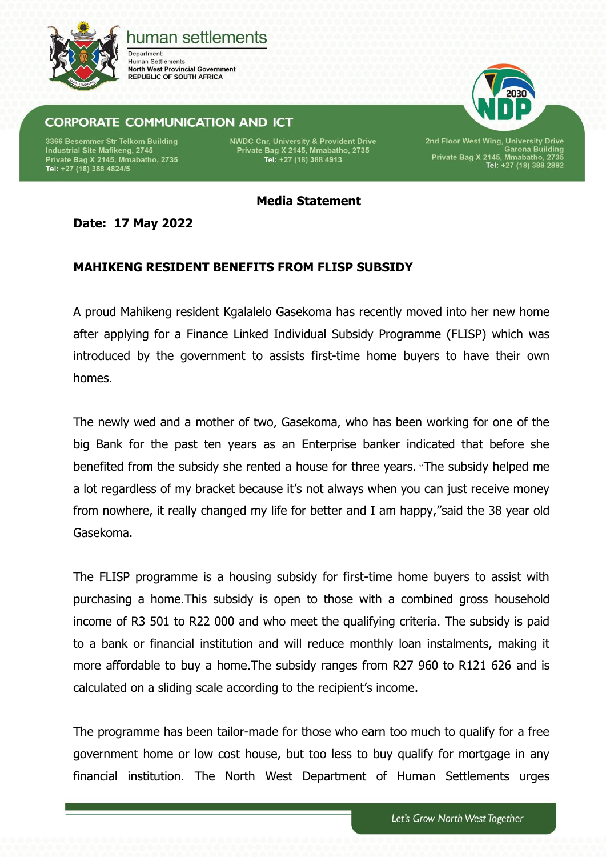

## human settlements

Department: **Human Settlements North West Provincial Government REPUBLIC OF SOUTH AFRICA** 

## **CORPORATE COMMUNICATION AND ICT**

3366 Besemmer Str Telkom Building Industrial Site Mafikeng, 2745 Private Bag X 2145, Mmabatho, 2735<br>Tel: +27 (18) 388 4824/5 **NWDC Cnr, University & Provident Drive** Private Bag X 2145, Mmabatho, 2735<br>Tel: +27 (18) 388 4913

2nd Floor West Wing, University Drive<br>Garona Building<br>Private Bag X 2145, Mmabatho, 2735<br>Tel: +27 (18) 388 2892

**Media Statement**

**Date: 17 May 2022**

## **MAHIKENG RESIDENT BENEFITS FROM FLISP SUBSIDY**

A proud Mahikeng resident Kgalalelo Gasekoma has recently moved into her new home after applying for a Finance Linked Individual Subsidy Programme (FLISP) which was introduced by the government to assists first-time home buyers to have their own homes.

The newly wed and a mother of two, Gasekoma, who has been working for one of the big Bank for the past ten years as an Enterprise banker indicated that before she benefited from the subsidy she rented a house for three years. "The subsidy helped me a lot regardless of my bracket because it's not always when you can just receive money from nowhere, it really changed my life for better and I am happy,"said the 38 year old Gasekoma.

The FLISP programme is a housing subsidy for first-time home buyers to assist with purchasing a home.This subsidy is open to those with a combined gross household income of R3 501 to R22 000 and who meet the qualifying criteria. The subsidy is paid to a bank or financial institution and will reduce monthly loan instalments, making it more affordable to buy a home.The subsidy ranges from R27 960 to R121 626 and is calculated on a sliding scale according to the recipient's income.

The programme has been tailor-made for those who earn too much to qualify for a free government home or low cost house, but too less to buy qualify for mortgage in any financial institution. The North West Department of Human Settlements urges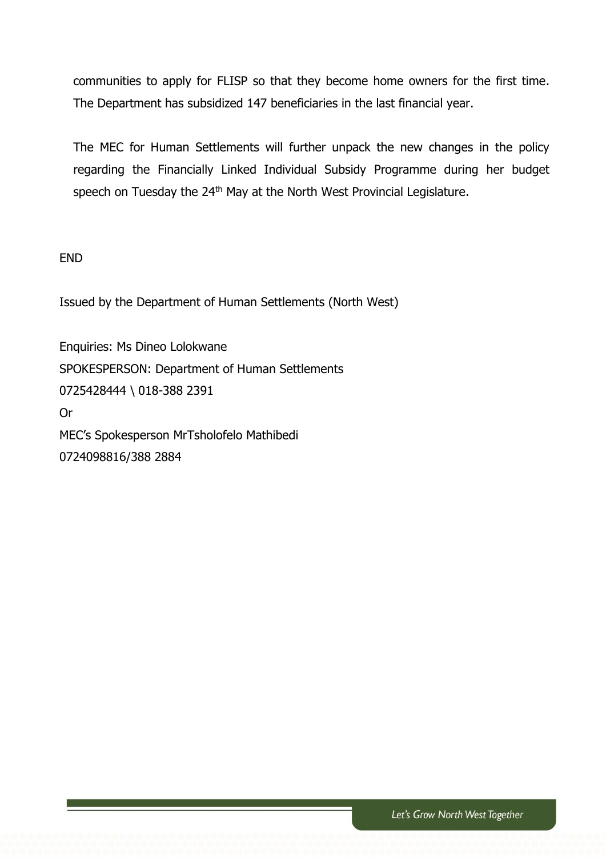communities to apply for FLISP so that they become home owners for the first time. The Department has subsidized 147 beneficiaries in the last financial year.

The MEC for Human Settlements will further unpack the new changes in the policy regarding the Financially Linked Individual Subsidy Programme during her budget speech on Tuesday the 24<sup>th</sup> May at the North West Provincial Legislature.

END

Issued by the Department of Human Settlements (North West)

Enquiries: Ms Dineo Lolokwane SPOKESPERSON: Department of Human Settlements 0725428444 \ 018-388 2391 Or MEC's Spokesperson MrTsholofelo Mathibedi 0724098816/388 2884